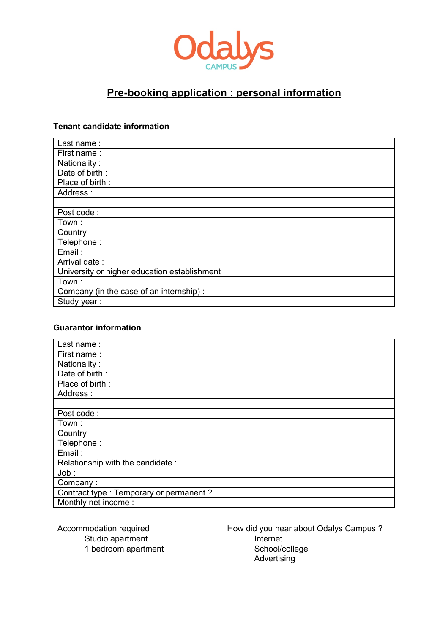

# **Pre-booking application : personal information**

### **Tenant candidate information**

| Last name:                                     |
|------------------------------------------------|
| First name:                                    |
| Nationality:                                   |
| Date of birth:                                 |
| Place of birth:                                |
| Address:                                       |
|                                                |
| Post code:                                     |
| Town:                                          |
| Country:                                       |
| Telephone:                                     |
| Email:                                         |
| Arrival date:                                  |
| University or higher education establishment : |
| Town:                                          |
| Company (in the case of an internship) :       |
| Study year:                                    |

### **Guarantor information**

| Last name:                               |
|------------------------------------------|
| First name:                              |
| Nationality:                             |
| Date of birth:                           |
| Place of birth:                          |
| Address:                                 |
|                                          |
| Post code:                               |
| Town:                                    |
| Country:                                 |
| Telephone:                               |
| Email:                                   |
| Relationship with the candidate:         |
| Job:                                     |
| Company:                                 |
| Contract type : Temporary or permanent ? |
| Monthly net income:                      |

Accommodation required : Studio apartment 1 bedroom apartment How did you hear about Odalys Campus ? Internet School/college Advertising